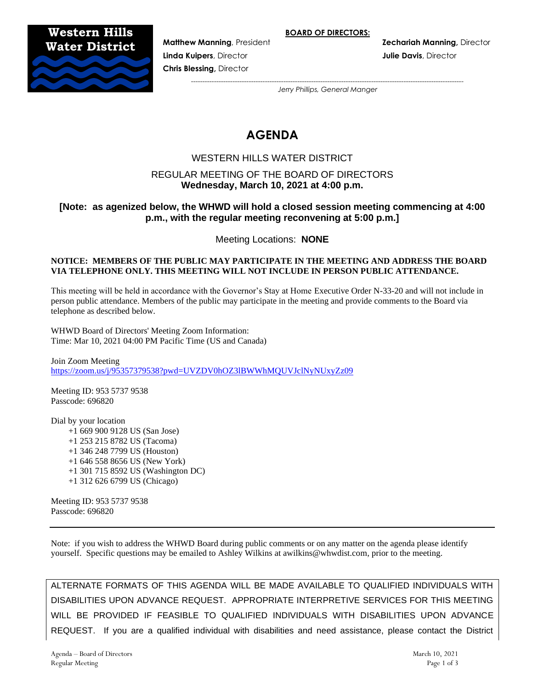**BOARD OF DIRECTORS:**

**Matthew Manning**, President **Zechariah Manning,** Director



**Linda Kuipers**, Director **Julie Davis**, Director **Chris Blessing,** Director

> *---------------------------------------------------------------------------------------------------------------------- Jerry Phillips, General Manger*

# **AGENDA**

# WESTERN HILLS WATER DISTRICT

# REGULAR MEETING OF THE BOARD OF DIRECTORS **Wednesday, March 10, 2021 at 4:00 p.m.**

# **[Note: as agenized below, the WHWD will hold a closed session meeting commencing at 4:00 p.m., with the regular meeting reconvening at 5:00 p.m.]**

Meeting Locations: **NONE**

#### **NOTICE: MEMBERS OF THE PUBLIC MAY PARTICIPATE IN THE MEETING AND ADDRESS THE BOARD VIA TELEPHONE ONLY. THIS MEETING WILL NOT INCLUDE IN PERSON PUBLIC ATTENDANCE.**

This meeting will be held in accordance with the Governor's Stay at Home Executive Order N-33-20 and will not include in person public attendance. Members of the public may participate in the meeting and provide comments to the Board via telephone as described below.

WHWD Board of Directors' Meeting Zoom Information: Time: Mar 10, 2021 04:00 PM Pacific Time (US and Canada)

Join Zoom Meeting <https://zoom.us/j/95357379538?pwd=UVZDV0hOZ3lBWWhMQUVJclNyNUxyZz09>

Meeting ID: 953 5737 9538 Passcode: 696820

Dial by your location +1 669 900 9128 US (San Jose) +1 253 215 8782 US (Tacoma) +1 346 248 7799 US (Houston) +1 646 558 8656 US (New York) +1 301 715 8592 US (Washington DC) +1 312 626 6799 US (Chicago)

Meeting ID: 953 5737 9538 Passcode: 696820

Note: if you wish to address the WHWD Board during public comments or on any matter on the agenda please identify yourself. Specific questions may be emailed to Ashley Wilkins at awilkins@whwdist.com, prior to the meeting.

ALTERNATE FORMATS OF THIS AGENDA WILL BE MADE AVAILABLE TO QUALIFIED INDIVIDUALS WITH DISABILITIES UPON ADVANCE REQUEST. APPROPRIATE INTERPRETIVE SERVICES FOR THIS MEETING WILL BE PROVIDED IF FEASIBLE TO QUALIFIED INDIVIDUALS WITH DISABILITIES UPON ADVANCE REQUEST. If you are a qualified individual with disabilities and need assistance, please contact the District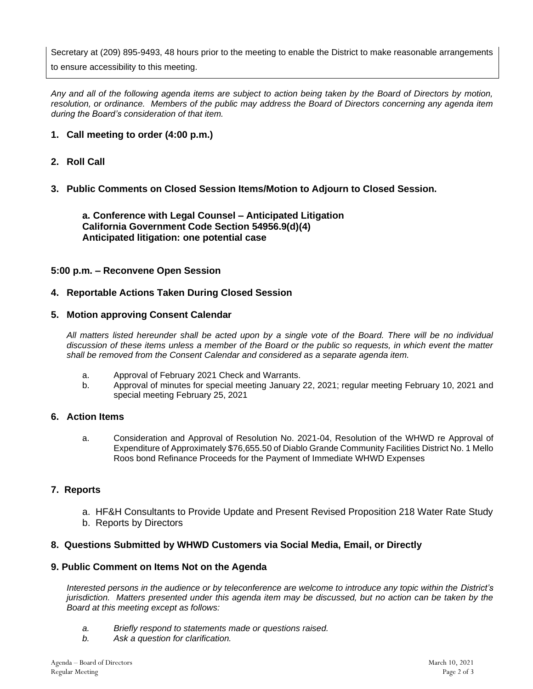Secretary at (209) 895-9493, 48 hours prior to the meeting to enable the District to make reasonable arrangements

to ensure accessibility to this meeting.

*Any and all of the following agenda items are subject to action being taken by the Board of Directors by motion, resolution, or ordinance. Members of the public may address the Board of Directors concerning any agenda item during the Board's consideration of that item.*

# **1. Call meeting to order (4:00 p.m.)**

# **2. Roll Call**

# **3. Public Comments on Closed Session Items/Motion to Adjourn to Closed Session.**

**a. Conference with Legal Counsel – Anticipated Litigation California Government Code Section 54956.9(d)(4) Anticipated litigation: one potential case**

#### **5:00 p.m. – Reconvene Open Session**

## **4. Reportable Actions Taken During Closed Session**

## **5. Motion approving Consent Calendar**

*All matters listed hereunder shall be acted upon by a single vote of the Board. There will be no individual discussion of these items unless a member of the Board or the public so requests, in which event the matter shall be removed from the Consent Calendar and considered as a separate agenda item.*

- a. Approval of February 2021 Check and Warrants.
- b. Approval of minutes for special meeting January 22, 2021; regular meeting February 10, 2021 and special meeting February 25, 2021

## **6. Action Items**

a. Consideration and Approval of Resolution No. 2021-04, Resolution of the WHWD re Approval of Expenditure of Approximately \$76,655.50 of Diablo Grande Community Facilities District No. 1 Mello Roos bond Refinance Proceeds for the Payment of Immediate WHWD Expenses

## **7. Reports**

- a. HF&H Consultants to Provide Update and Present Revised Proposition 218 Water Rate Study
- b. Reports by Directors

## **8. Questions Submitted by WHWD Customers via Social Media, Email, or Directly**

## **9. Public Comment on Items Not on the Agenda**

*Interested persons in the audience or by teleconference are welcome to introduce any topic within the District's jurisdiction. Matters presented under this agenda item may be discussed, but no action can be taken by the Board at this meeting except as follows:*

- *a. Briefly respond to statements made or questions raised.*
- *b. Ask a question for clarification.*